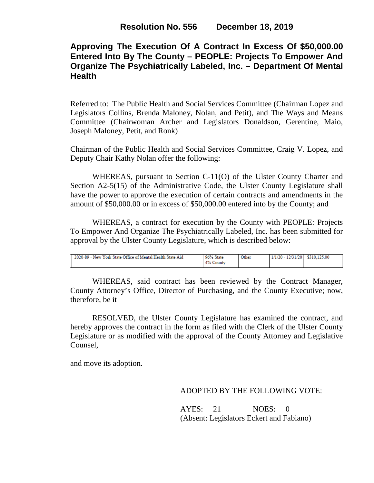# **Approving The Execution Of A Contract In Excess Of \$50,000.00 Entered Into By The County – PEOPLE: Projects To Empower And Organize The Psychiatrically Labeled, Inc. – Department Of Mental Health**

Referred to: The Public Health and Social Services Committee (Chairman Lopez and Legislators Collins, Brenda Maloney, Nolan, and Petit), and The Ways and Means Committee (Chairwoman Archer and Legislators Donaldson, Gerentine, Maio, Joseph Maloney, Petit, and Ronk)

Chairman of the Public Health and Social Services Committee, Craig V. Lopez, and Deputy Chair Kathy Nolan offer the following:

WHEREAS, pursuant to Section C-11(O) of the Ulster County Charter and Section A2-5(15) of the Administrative Code, the Ulster County Legislature shall have the power to approve the execution of certain contracts and amendments in the amount of \$50,000.00 or in excess of \$50,000.00 entered into by the County; and

WHEREAS, a contract for execution by the County with PEOPLE: Projects To Empower And Organize The Psychiatrically Labeled, Inc. has been submitted for approval by the Ulster County Legislature, which is described below:

| 2020-89 - New York State Office of Mental Health State Aid | 96% State<br>4%<br>County | Other | 1/1/20 - 12/31/20   \$310.125.00 |  |
|------------------------------------------------------------|---------------------------|-------|----------------------------------|--|
|------------------------------------------------------------|---------------------------|-------|----------------------------------|--|

WHEREAS, said contract has been reviewed by the Contract Manager, County Attorney's Office, Director of Purchasing, and the County Executive; now, therefore, be it

RESOLVED, the Ulster County Legislature has examined the contract, and hereby approves the contract in the form as filed with the Clerk of the Ulster County Legislature or as modified with the approval of the County Attorney and Legislative Counsel,

and move its adoption.

## ADOPTED BY THE FOLLOWING VOTE:

AYES: 21 NOES: 0 (Absent: Legislators Eckert and Fabiano)